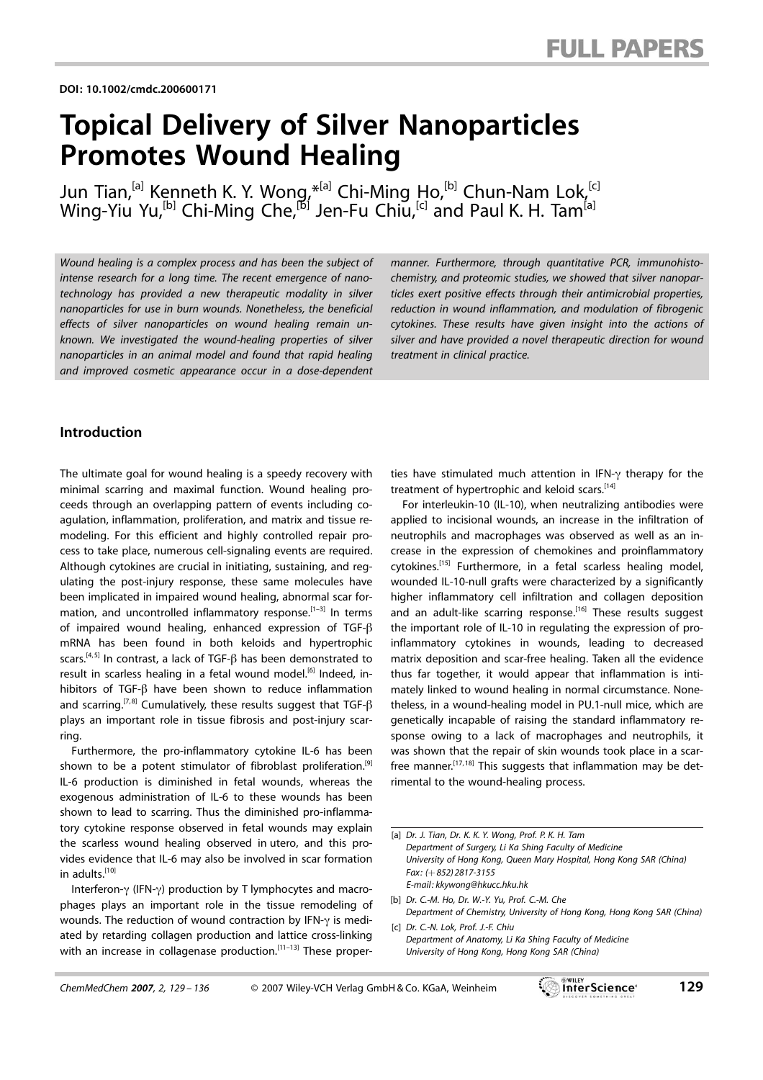DOI: 10.1002/cmdc.200600171

# Topical Delivery of Silver Nanoparticles Promotes Wound Healing

Jun Tian,<sup>[a]</sup> Kenneth K. Y. Wong,\*<sup>[a]</sup> Chi-Ming Ho,<sup>[b]</sup> Chun-Nam Lok,<sup>[c]</sup> Wing-Yiu Yu,<sup>[b]</sup> Chi-Ming Che,<sup>[6]</sup> Jen-Fu Chiu,<sup>[c]</sup> and Paul K. H. Tam<sup>[a]</sup>

Wound healing is a complex process and has been the subject of intense research for a long time. The recent emergence of nanotechnology has provided a new therapeutic modality in silver nanoparticles for use in burn wounds. Nonetheless, the beneficial effects of silver nanoparticles on wound healing remain unknown. We investigated the wound-healing properties of silver nanoparticles in an animal model and found that rapid healing and improved cosmetic appearance occur in a dose-dependent

manner. Furthermore, through quantitative PCR, immunohistochemistry, and proteomic studies, we showed that silver nanoparticles exert positive effects through their antimicrobial properties, reduction in wound inflammation, and modulation of fibrogenic cytokines. These results have given insight into the actions of silver and have provided a novel therapeutic direction for wound treatment in clinical practice.

# Introduction

The ultimate goal for wound healing is a speedy recovery with minimal scarring and maximal function. Wound healing proceeds through an overlapping pattern of events including coagulation, inflammation, proliferation, and matrix and tissue remodeling. For this efficient and highly controlled repair process to take place, numerous cell-signaling events are required. Although cytokines are crucial in initiating, sustaining, and regulating the post-injury response, these same molecules have been implicated in impaired wound healing, abnormal scar formation, and uncontrolled inflammatory response.<sup>[1-3]</sup> In terms of impaired wound healing, enhanced expression of TGF- $\beta$ mRNA has been found in both keloids and hypertrophic scars.<sup>[4,5]</sup> In contrast, a lack of TGF- $\beta$  has been demonstrated to result in scarless healing in a fetal wound model.<sup>[6]</sup> Indeed, inhibitors of TGF- $\beta$  have been shown to reduce inflammation and scarring.<sup>[7,8]</sup> Cumulatively, these results suggest that TGF- $\beta$ plays an important role in tissue fibrosis and post-injury scarring.

Furthermore, the pro-inflammatory cytokine IL-6 has been shown to be a potent stimulator of fibroblast proliferation.<sup>[9]</sup> IL-6 production is diminished in fetal wounds, whereas the exogenous administration of IL-6 to these wounds has been shown to lead to scarring. Thus the diminished pro-inflammatory cytokine response observed in fetal wounds may explain the scarless wound healing observed in utero, and this provides evidence that IL-6 may also be involved in scar formation in adults.[10]

Interferon- $\gamma$  (IFN- $\gamma$ ) production by T lymphocytes and macrophages plays an important role in the tissue remodeling of wounds. The reduction of wound contraction by IFN- $\gamma$  is mediated by retarding collagen production and lattice cross-linking with an increase in collagenase production.<sup>[11-13]</sup> These properties have stimulated much attention in IFN- $\gamma$  therapy for the treatment of hypertrophic and keloid scars.<sup>[14]</sup>

For interleukin-10 (IL-10), when neutralizing antibodies were applied to incisional wounds, an increase in the infiltration of neutrophils and macrophages was observed as well as an increase in the expression of chemokines and proinflammatory cytokines.<sup>[15]</sup> Furthermore, in a fetal scarless healing model, wounded IL-10-null grafts were characterized by a significantly higher inflammatory cell infiltration and collagen deposition and an adult-like scarring response.<sup>[16]</sup> These results suggest the important role of IL-10 in regulating the expression of proinflammatory cytokines in wounds, leading to decreased matrix deposition and scar-free healing. Taken all the evidence thus far together, it would appear that inflammation is intimately linked to wound healing in normal circumstance. Nonetheless, in a wound-healing model in PU.1-null mice, which are genetically incapable of raising the standard inflammatory response owing to a lack of macrophages and neutrophils, it was shown that the repair of skin wounds took place in a scarfree manner.<sup>[17, 18]</sup> This suggests that inflammation may be detrimental to the wound-healing process.

<sup>[</sup>a] Dr. J. Tian, Dr. K. K. Y. Wong, Prof. P. K. H. Tam Department of Surgery, Li Ka Shing Faculty of Medicine University of Hong Kong, Queen Mary Hospital, Hong Kong SAR (China)  $Fax: (+852) 2817 - 3155$ E-mail: kkywong@hkucc.hku.hk

<sup>[</sup>b] Dr. C.-M. Ho, Dr. W.-Y. Yu, Prof. C.-M. Che Department of Chemistry, University of Hong Kong, Hong Kong SAR (China)

<sup>[</sup>c] Dr. C.-N. Lok, Prof. J.-F. Chiu Department of Anatomy, Li Ka Shing Faculty of Medicine University of Hong Kong, Hong Kong SAR (China)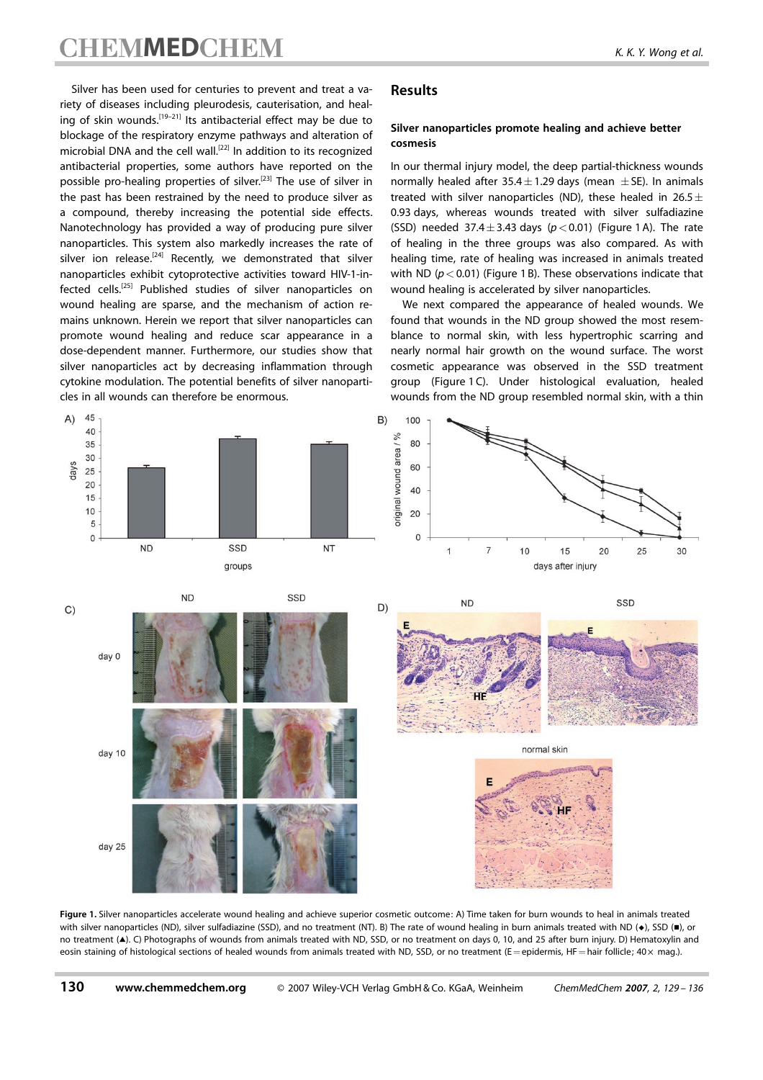Silver has been used for centuries to prevent and treat a variety of diseases including pleurodesis, cauterisation, and healing of skin wounds.[19–21] Its antibacterial effect may be due to blockage of the respiratory enzyme pathways and alteration of microbial DNA and the cell wall.[22] In addition to its recognized antibacterial properties, some authors have reported on the possible pro-healing properties of silver.<sup>[23]</sup> The use of silver in the past has been restrained by the need to produce silver as a compound, thereby increasing the potential side effects. Nanotechnology has provided a way of producing pure silver nanoparticles. This system also markedly increases the rate of silver ion release.<sup>[24]</sup> Recently, we demonstrated that silver nanoparticles exhibit cytoprotective activities toward HIV-1-infected cells.[25] Published studies of silver nanoparticles on wound healing are sparse, and the mechanism of action remains unknown. Herein we report that silver nanoparticles can promote wound healing and reduce scar appearance in a dose-dependent manner. Furthermore, our studies show that silver nanoparticles act by decreasing inflammation through cytokine modulation. The potential benefits of silver nanoparticles in all wounds can therefore be enormous.

# Results

### Silver nanoparticles promote healing and achieve better cosmesis

In our thermal injury model, the deep partial-thickness wounds normally healed after  $35.4 \pm 1.29$  days (mean  $\pm$  SE). In animals treated with silver nanoparticles (ND), these healed in  $26.5 \pm$ 0.93 days, whereas wounds treated with silver sulfadiazine (SSD) needed 37.4 $\pm$ 3.43 days ( $p < 0.01$ ) (Figure 1A). The rate of healing in the three groups was also compared. As with healing time, rate of healing was increased in animals treated with ND ( $p < 0.01$ ) (Figure 1 B). These observations indicate that wound healing is accelerated by silver nanoparticles.

We next compared the appearance of healed wounds. We found that wounds in the ND group showed the most resemblance to normal skin, with less hypertrophic scarring and nearly normal hair growth on the wound surface. The worst cosmetic appearance was observed in the SSD treatment group (Figure 1 C). Under histological evaluation, healed wounds from the ND group resembled normal skin, with a thin



Figure 1. Silver nanoparticles accelerate wound healing and achieve superior cosmetic outcome: A) Time taken for burn wounds to heal in animals treated with silver nanoparticles (ND), silver sulfadiazine (SSD), and no treatment (NT), B) The rate of wound healing in burn animals treated with ND ( $\bullet$ ), SSD ( $\bullet$ ), or no treatment (A). C) Photographs of wounds from animals treated with ND, SSD, or no treatment on days 0, 10, and 25 after burn injury. D) Hematoxylin and eosin staining of histological sections of healed wounds from animals treated with ND, SSD, or no treatment (E=epidermis, HF=hair follicle;  $40 \times$  mag.).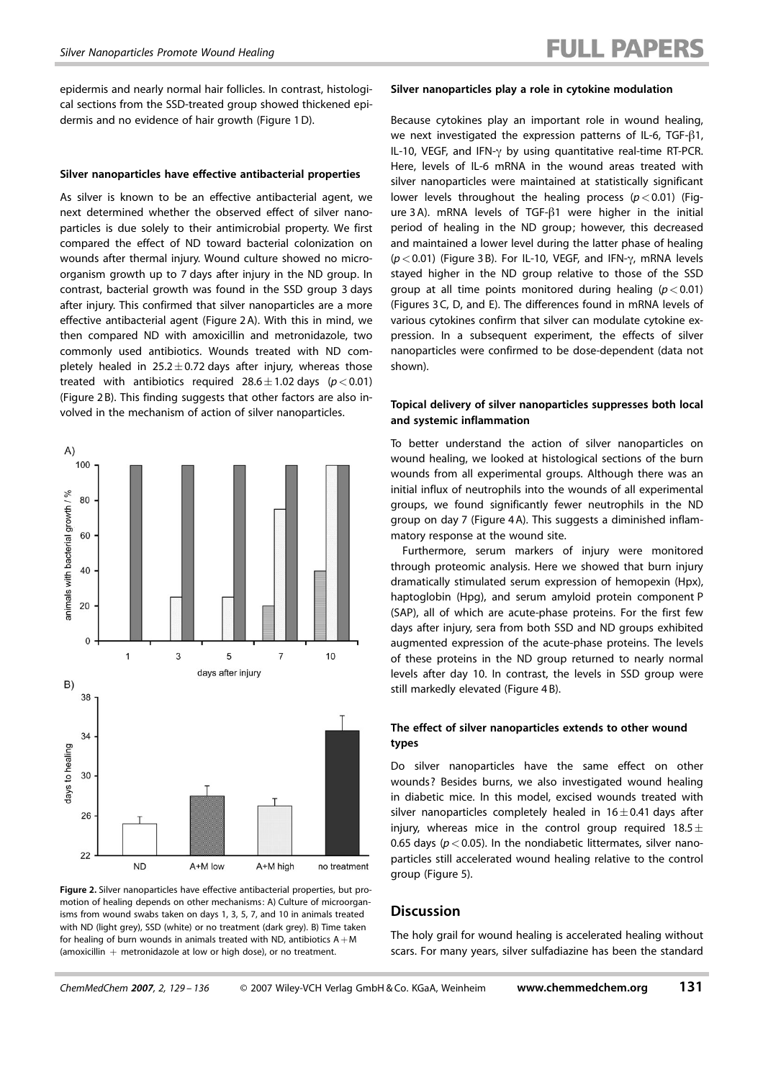epidermis and nearly normal hair follicles. In contrast, histological sections from the SSD-treated group showed thickened epidermis and no evidence of hair growth (Figure 1D).

#### Silver nanoparticles have effective antibacterial properties

As silver is known to be an effective antibacterial agent, we next determined whether the observed effect of silver nanoparticles is due solely to their antimicrobial property. We first compared the effect of ND toward bacterial colonization on wounds after thermal injury. Wound culture showed no microorganism growth up to 7 days after injury in the ND group. In contrast, bacterial growth was found in the SSD group 3 days after injury. This confirmed that silver nanoparticles are a more effective antibacterial agent (Figure 2 A). With this in mind, we then compared ND with amoxicillin and metronidazole, two commonly used antibiotics. Wounds treated with ND completely healed in  $25.2 \pm 0.72$  days after injury, whereas those treated with antibiotics required  $28.6\pm1.02$  days (p < 0.01) (Figure 2 B). This finding suggests that other factors are also involved in the mechanism of action of silver nanoparticles.





### Silver nanoparticles play a role in cytokine modulation

Because cytokines play an important role in wound healing, we next investigated the expression patterns of IL-6, TGF- $\beta$ 1, IL-10, VEGF, and IFN- $\gamma$  by using quantitative real-time RT-PCR. Here, levels of IL-6 mRNA in the wound areas treated with silver nanoparticles were maintained at statistically significant lower levels throughout the healing process ( $p < 0.01$ ) (Figure 3A). mRNA levels of TGF- $\beta$ 1 were higher in the initial period of healing in the ND group; however, this decreased and maintained a lower level during the latter phase of healing ( $p$  < 0.01) (Figure 3 B). For IL-10, VEGF, and IFN- $\gamma$ , mRNA levels stayed higher in the ND group relative to those of the SSD group at all time points monitored during healing  $(p < 0.01)$ (Figures 3 C, D, and E). The differences found in mRNA levels of various cytokines confirm that silver can modulate cytokine expression. In a subsequent experiment, the effects of silver nanoparticles were confirmed to be dose-dependent (data not shown).

## Topical delivery of silver nanoparticles suppresses both local and systemic inflammation

To better understand the action of silver nanoparticles on wound healing, we looked at histological sections of the burn wounds from all experimental groups. Although there was an initial influx of neutrophils into the wounds of all experimental groups, we found significantly fewer neutrophils in the ND group on day 7 (Figure 4A). This suggests a diminished inflammatory response at the wound site.

Furthermore, serum markers of injury were monitored through proteomic analysis. Here we showed that burn injury dramatically stimulated serum expression of hemopexin (Hpx), haptoglobin (Hpg), and serum amyloid protein component P (SAP), all of which are acute-phase proteins. For the first few days after injury, sera from both SSD and ND groups exhibited augmented expression of the acute-phase proteins. The levels of these proteins in the ND group returned to nearly normal levels after day 10. In contrast, the levels in SSD group were still markedly elevated (Figure 4 B).

## The effect of silver nanoparticles extends to other wound types

Do silver nanoparticles have the same effect on other wounds? Besides burns, we also investigated wound healing in diabetic mice. In this model, excised wounds treated with silver nanoparticles completely healed in  $16\pm0.41$  days after injury, whereas mice in the control group required  $18.5 \pm$ 0.65 days ( $p < 0.05$ ). In the nondiabetic littermates, silver nanoparticles still accelerated wound healing relative to the control group (Figure 5).

# **Discussion**

The holy grail for wound healing is accelerated healing without scars. For many years, silver sulfadiazine has been the standard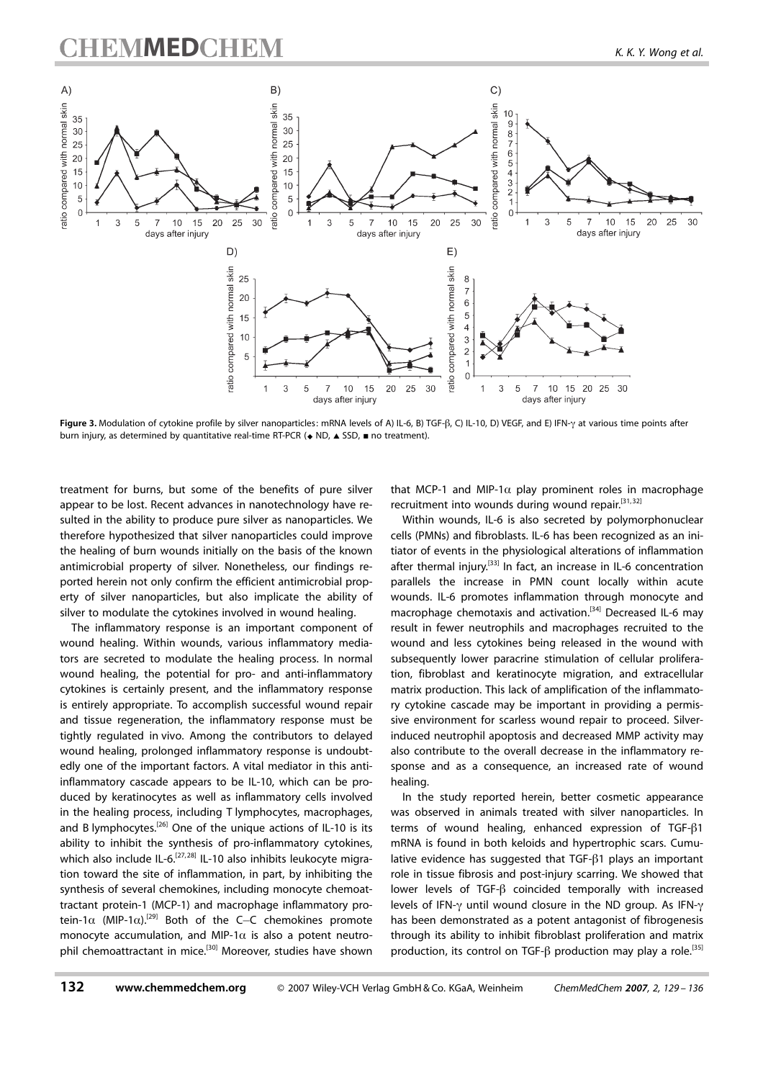# $\blacksquare$  **MEDCHEM**  $\blacksquare$   $\blacksquare$   $\blacksquare$   $\blacksquare$   $\blacksquare$   $\blacksquare$   $\blacksquare$   $\blacksquare$   $\blacksquare$   $\blacksquare$   $\blacksquare$   $\blacksquare$   $\blacksquare$   $\blacksquare$   $\blacksquare$   $\blacksquare$   $\blacksquare$   $\blacksquare$   $\blacksquare$   $\blacksquare$   $\blacksquare$   $\blacksquare$   $\blacksquare$   $\blacksquare$   $\blacksquare$   $\blacksquare$   $\blacksquare$   $\blacksquare$   $\blacksquare$



Figure 3. Modulation of cytokine profile by silver nanoparticles: mRNA levels of A) IL-6, B) TGF-ß, C) IL-10, D) VEGF, and E) IFN-y at various time points after burn injury, as determined by quantitative real-time RT-PCR ( $\blacklozenge$  ND,  $\blacktriangle$  SSD,  $\blacktriangleright$  no treatment).

treatment for burns, but some of the benefits of pure silver appear to be lost. Recent advances in nanotechnology have resulted in the ability to produce pure silver as nanoparticles. We therefore hypothesized that silver nanoparticles could improve the healing of burn wounds initially on the basis of the known antimicrobial property of silver. Nonetheless, our findings reported herein not only confirm the efficient antimicrobial property of silver nanoparticles, but also implicate the ability of silver to modulate the cytokines involved in wound healing.

The inflammatory response is an important component of wound healing. Within wounds, various inflammatory mediators are secreted to modulate the healing process. In normal wound healing, the potential for pro- and anti-inflammatory cytokines is certainly present, and the inflammatory response is entirely appropriate. To accomplish successful wound repair and tissue regeneration, the inflammatory response must be tightly regulated in vivo. Among the contributors to delayed wound healing, prolonged inflammatory response is undoubtedly one of the important factors. A vital mediator in this antiinflammatory cascade appears to be IL-10, which can be produced by keratinocytes as well as inflammatory cells involved in the healing process, including T lymphocytes, macrophages, and B lymphocytes.<sup>[26]</sup> One of the unique actions of IL-10 is its ability to inhibit the synthesis of pro-inflammatory cytokines, which also include IL-6.<sup>[27,28]</sup> IL-10 also inhibits leukocyte migration toward the site of inflammation, in part, by inhibiting the synthesis of several chemokines, including monocyte chemoattractant protein-1 (MCP-1) and macrophage inflammatory protein-1 $\alpha$  (MIP-1 $\alpha$ ).<sup>[29]</sup> Both of the C–C chemokines promote monocyte accumulation, and MIP-1 $\alpha$  is also a potent neutrophil chemoattractant in mice.<sup>[30]</sup> Moreover, studies have shown that MCP-1 and MIP-1 $\alpha$  play prominent roles in macrophage recruitment into wounds during wound repair.<sup>[31,32]</sup>

Within wounds, IL-6 is also secreted by polymorphonuclear cells (PMNs) and fibroblasts. IL-6 has been recognized as an initiator of events in the physiological alterations of inflammation after thermal injury.<sup>[33]</sup> In fact, an increase in IL-6 concentration parallels the increase in PMN count locally within acute wounds. IL-6 promotes inflammation through monocyte and macrophage chemotaxis and activation.<sup>[34]</sup> Decreased IL-6 may result in fewer neutrophils and macrophages recruited to the wound and less cytokines being released in the wound with subsequently lower paracrine stimulation of cellular proliferation, fibroblast and keratinocyte migration, and extracellular matrix production. This lack of amplification of the inflammatory cytokine cascade may be important in providing a permissive environment for scarless wound repair to proceed. Silverinduced neutrophil apoptosis and decreased MMP activity may also contribute to the overall decrease in the inflammatory response and as a consequence, an increased rate of wound healing.

In the study reported herein, better cosmetic appearance was observed in animals treated with silver nanoparticles. In terms of wound healing, enhanced expression of TGF- $\beta$ 1 mRNA is found in both keloids and hypertrophic scars. Cumulative evidence has suggested that TGF- $\beta$ 1 plays an important role in tissue fibrosis and post-injury scarring. We showed that lower levels of TGF- $\beta$  coincided temporally with increased levels of IFN- $\gamma$  until wound closure in the ND group. As IFN- $\gamma$ has been demonstrated as a potent antagonist of fibrogenesis through its ability to inhibit fibroblast proliferation and matrix production, its control on TGF- $\beta$  production may play a role.<sup>[35]</sup>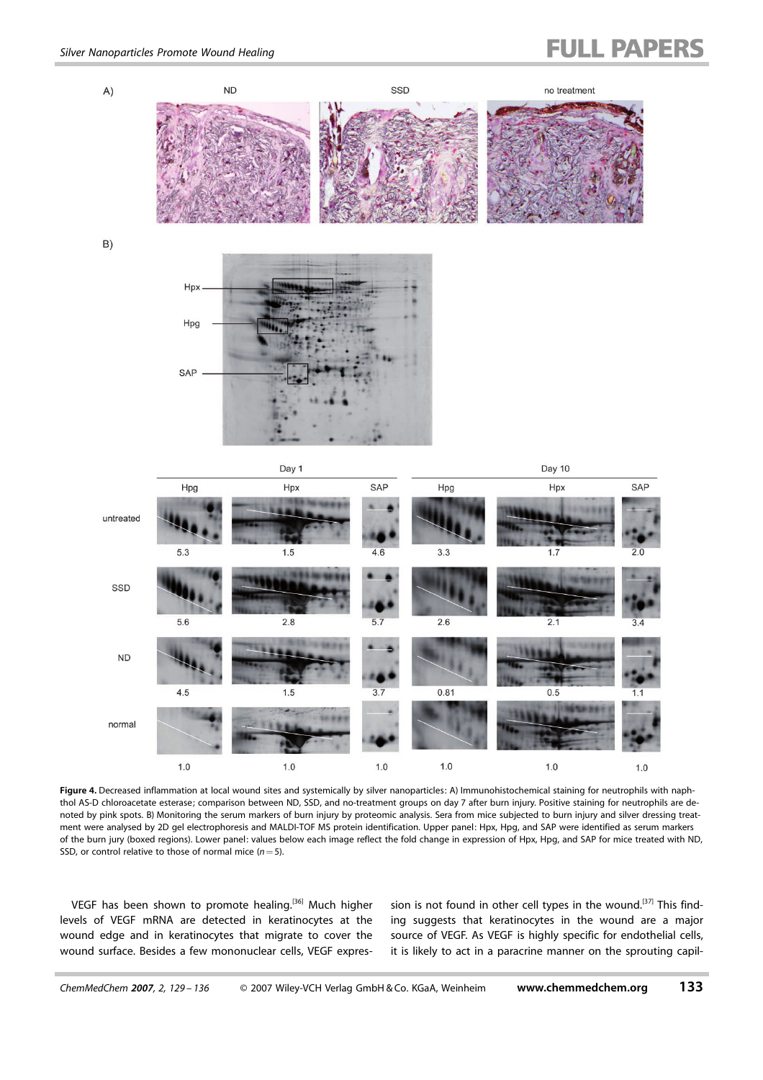# **FULL PAPERS**



Figure 4. Decreased inflammation at local wound sites and systemically by silver nanoparticles: A) Immunohistochemical staining for neutrophils with naphthol AS-D chloroacetate esterase; comparison between ND, SSD, and no-treatment groups on day 7 after burn injury. Positive staining for neutrophils are denoted by pink spots. B) Monitoring the serum markers of burn injury by proteomic analysis. Sera from mice subjected to burn injury and silver dressing treatment were analysed by 2D gel electrophoresis and MALDI-TOF MS protein identification. Upper panel: Hpx, Hpg, and SAPwere identified as serum markers of the burn jury (boxed regions). Lower panel: values below each image reflect the fold change in expression of Hpx, Hpg, and SAPfor mice treated with ND, SSD, or control relative to those of normal mice  $(n=5)$ .

VEGF has been shown to promote healing.<sup>[36]</sup> Much higher levels of VEGF mRNA are detected in keratinocytes at the wound edge and in keratinocytes that migrate to cover the wound surface. Besides a few mononuclear cells, VEGF expression is not found in other cell types in the wound.<sup>[37]</sup> This finding suggests that keratinocytes in the wound are a major source of VEGF. As VEGF is highly specific for endothelial cells, it is likely to act in a paracrine manner on the sprouting capil-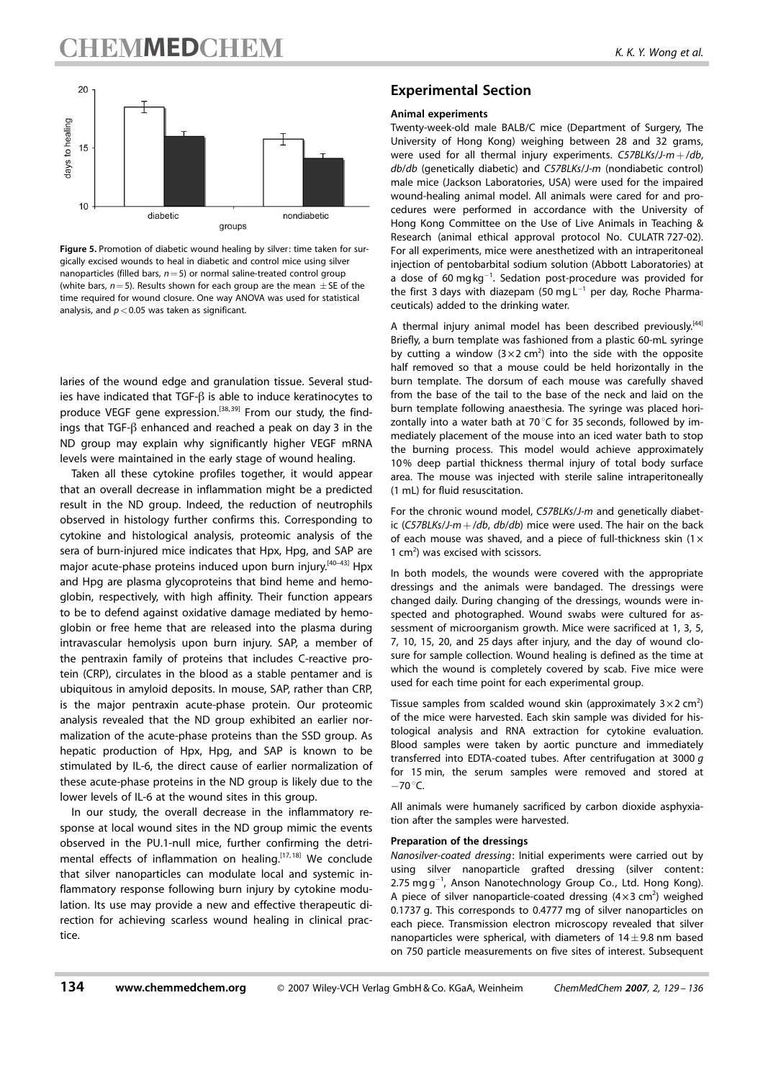

Figure 5. Promotion of diabetic wound healing by silver: time taken for surgically excised wounds to heal in diabetic and control mice using silver nanoparticles (filled bars,  $n=5$ ) or normal saline-treated control group (white bars,  $n=5$ ). Results shown for each group are the mean  $\pm$  SE of the time required for wound closure. One way ANOVA was used for statistical analysis, and  $n < 0.05$  was taken as significant.

laries of the wound edge and granulation tissue. Several studies have indicated that TGF- $\beta$  is able to induce keratinocytes to produce VEGF gene expression.<sup>[38, 39]</sup> From our study, the findings that TGF- $\beta$  enhanced and reached a peak on day 3 in the ND group may explain why significantly higher VEGF mRNA levels were maintained in the early stage of wound healing.

Taken all these cytokine profiles together, it would appear that an overall decrease in inflammation might be a predicted result in the ND group. Indeed, the reduction of neutrophils observed in histology further confirms this. Corresponding to cytokine and histological analysis, proteomic analysis of the sera of burn-injured mice indicates that Hpx, Hpg, and SAP are major acute-phase proteins induced upon burn injury.<sup>[40-43]</sup> Hpx and Hpg are plasma glycoproteins that bind heme and hemoglobin, respectively, with high affinity. Their function appears to be to defend against oxidative damage mediated by hemoglobin or free heme that are released into the plasma during intravascular hemolysis upon burn injury. SAP, a member of the pentraxin family of proteins that includes C-reactive protein (CRP), circulates in the blood as a stable pentamer and is ubiquitous in amyloid deposits. In mouse, SAP, rather than CRP, is the major pentraxin acute-phase protein. Our proteomic analysis revealed that the ND group exhibited an earlier normalization of the acute-phase proteins than the SSD group. As hepatic production of Hpx, Hpg, and SAP is known to be stimulated by IL-6, the direct cause of earlier normalization of these acute-phase proteins in the ND group is likely due to the lower levels of IL-6 at the wound sites in this group.

In our study, the overall decrease in the inflammatory response at local wound sites in the ND group mimic the events observed in the PU.1-null mice, further confirming the detrimental effects of inflammation on healing.<sup>[17,18]</sup> We conclude that silver nanoparticles can modulate local and systemic inflammatory response following burn injury by cytokine modulation. Its use may provide a new and effective therapeutic direction for achieving scarless wound healing in clinical practice.

# Experimental Section

### Animal experiments

Twenty-week-old male BALB/C mice (Department of Surgery, The University of Hong Kong) weighing between 28 and 32 grams, were used for all thermal injury experiments.  $C57BLKs/J-m+/db$ , db/db (genetically diabetic) and C57BLKs/J-m (nondiabetic control) male mice (Jackson Laboratories, USA) were used for the impaired wound-healing animal model. All animals were cared for and procedures were performed in accordance with the University of Hong Kong Committee on the Use of Live Animals in Teaching & Research (animal ethical approval protocol No. CULATR 727-02). For all experiments, mice were anesthetized with an intraperitoneal injection of pentobarbital sodium solution (Abbott Laboratories) at a dose of 60 mg  $kg^{-1}$ . Sedation post-procedure was provided for the first 3 days with diazepam (50 mg  $L^{-1}$  per day, Roche Pharmaceuticals) added to the drinking water.

A thermal injury animal model has been described previously.<sup>[44]</sup> Briefly, a burn template was fashioned from a plastic 60-mL syringe by cutting a window  $(3 \times 2 \text{ cm}^2)$  into the side with the opposite half removed so that a mouse could be held horizontally in the burn template. The dorsum of each mouse was carefully shaved from the base of the tail to the base of the neck and laid on the burn template following anaesthesia. The syringe was placed horizontally into a water bath at 70 $^{\circ}$ C for 35 seconds, followed by immediately placement of the mouse into an iced water bath to stop the burning process. This model would achieve approximately 10% deep partial thickness thermal injury of total body surface area. The mouse was injected with sterile saline intraperitoneally (1 mL) for fluid resuscitation.

For the chronic wound model, C57BLKs/J-m and genetically diabetic (C57BLKs/J- $m+$ /db, db/db) mice were used. The hair on the back of each mouse was shaved, and a piece of full-thickness skin  $(1 \times$ 1  $cm<sup>2</sup>$ ) was excised with scissors.

In both models, the wounds were covered with the appropriate dressings and the animals were bandaged. The dressings were changed daily. During changing of the dressings, wounds were inspected and photographed. Wound swabs were cultured for assessment of microorganism growth. Mice were sacrificed at 1, 3, 5, 7, 10, 15, 20, and 25 days after injury, and the day of wound closure for sample collection. Wound healing is defined as the time at which the wound is completely covered by scab. Five mice were used for each time point for each experimental group.

Tissue samples from scalded wound skin (approximately  $3 \times 2$  cm<sup>2</sup>) of the mice were harvested. Each skin sample was divided for histological analysis and RNA extraction for cytokine evaluation. Blood samples were taken by aortic puncture and immediately transferred into EDTA-coated tubes. After centrifugation at 3000 g for 15 min, the serum samples were removed and stored at  $-70^{\circ}$ C.

All animals were humanely sacrificed by carbon dioxide asphyxiation after the samples were harvested.

### Preparation of the dressings

Nanosilver-coated dressing: Initial experiments were carried out by using silver nanoparticle grafted dressing (silver content: 2.75  $mgg^{-1}$ , Anson Nanotechnology Group Co., Ltd. Hong Kong). A piece of silver nanoparticle-coated dressing  $(4 \times 3 \text{ cm}^2)$  weighed 0.1737 g. This corresponds to 0.4777 mg of silver nanoparticles on each piece. Transmission electron microscopy revealed that silver nanoparticles were spherical, with diameters of  $14 \pm 9.8$  nm based on 750 particle measurements on five sites of interest. Subsequent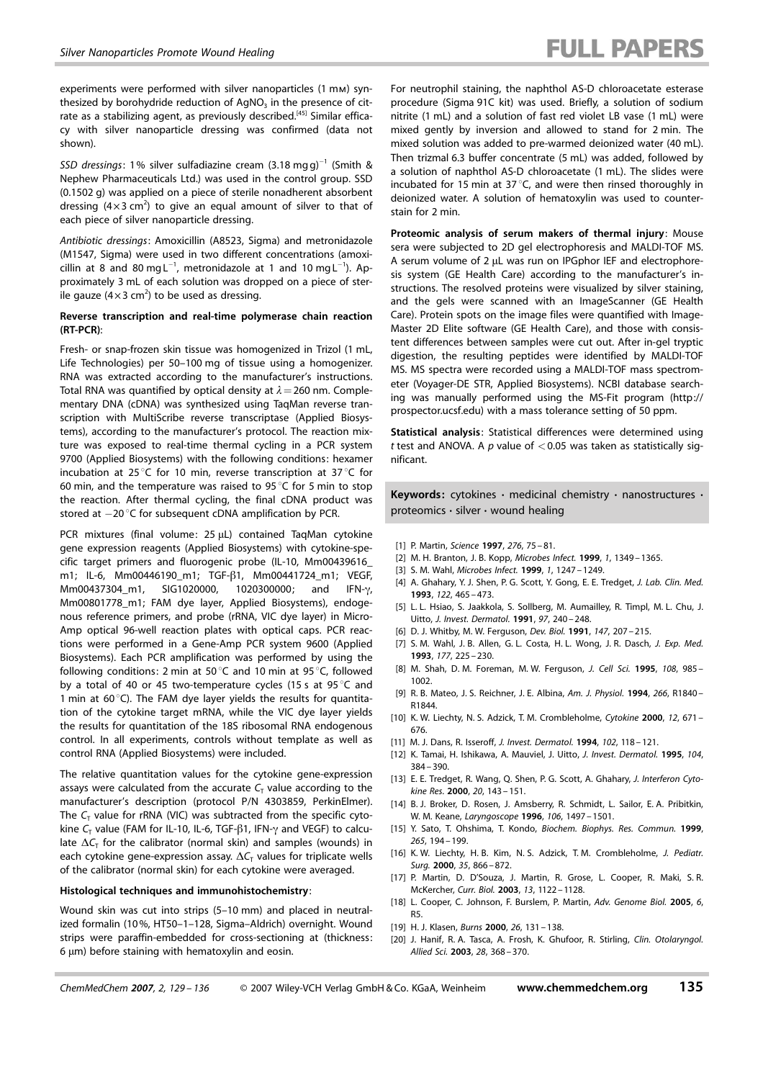# **FULL PAPERS**

experiments were performed with silver nanoparticles (1 mm) synthesized by borohydride reduction of  $AgNO<sub>3</sub>$  in the presence of citrate as a stabilizing agent, as previously described.<sup>[45]</sup> Similar efficacy with silver nanoparticle dressing was confirmed (data not shown).

SSD dressings: 1% silver sulfadiazine cream  $(3.18 \text{ mg g})^{-1}$  (Smith & Nephew Pharmaceuticals Ltd.) was used in the control group. SSD (0.1502 g) was applied on a piece of sterile nonadherent absorbent dressing (4 $\times$ 3 cm<sup>2</sup>) to give an equal amount of silver to that of each piece of silver nanoparticle dressing.

Antibiotic dressings: Amoxicillin (A8523, Sigma) and metronidazole (M1547, Sigma) were used in two different concentrations (amoxicillin at 8 and 80 mg L<sup>-1</sup>, metronidazole at 1 and 10 mg L<sup>-1</sup>). Approximately 3 mL of each solution was dropped on a piece of sterile gauze (4×3 cm<sup>2</sup>) to be used as dressing.

### Reverse transcription and real-time polymerase chain reaction (RT-PCR):

Fresh- or snap-frozen skin tissue was homogenized in Trizol (1 mL, Life Technologies) per 50–100 mg of tissue using a homogenizer. RNA was extracted according to the manufacturer's instructions. Total RNA was quantified by optical density at  $\lambda$  = 260 nm. Complementary DNA (cDNA) was synthesized using TaqMan reverse transcription with MultiScribe reverse transcriptase (Applied Biosystems), according to the manufacturer's protocol. The reaction mixture was exposed to real-time thermal cycling in a PCR system 9700 (Applied Biosystems) with the following conditions: hexamer incubation at 25 $^{\circ}$ C for 10 min, reverse transcription at 37 $^{\circ}$ C for 60 min, and the temperature was raised to 95 $\degree$ C for 5 min to stop the reaction. After thermal cycling, the final cDNA product was stored at  $-20\degree$ C for subsequent cDNA amplification by PCR.

PCR mixtures (final volume: 25 µL) contained TaqMan cytokine gene expression reagents (Applied Biosystems) with cytokine-specific target primers and fluorogenic probe (IL-10, Mm00439616\_ m1; IL-6, Mm00446190\_m1; TGF-b1, Mm00441724\_m1; VEGF, Mm00437304\_m1, SIG1020000, 1020300000; and IFN- $\gamma$ , Mm00801778\_m1; FAM dye layer, Applied Biosystems), endogenous reference primers, and probe (rRNA, VIC dye layer) in Micro-Amp optical 96-well reaction plates with optical caps. PCR reactions were performed in a Gene-Amp PCR system 9600 (Applied Biosystems). Each PCR amplification was performed by using the following conditions: 2 min at 50 $^{\circ}$ C and 10 min at 95 $^{\circ}$ C, followed by a total of 40 or 45 two-temperature cycles (15 s at 95 $\degree$ C and 1 min at 60 $^{\circ}$ C). The FAM dye layer yields the results for quantitation of the cytokine target mRNA, while the VIC dye layer yields the results for quantitation of the 18S ribosomal RNA endogenous control. In all experiments, controls without template as well as control RNA (Applied Biosystems) were included.

The relative quantitation values for the cytokine gene-expression assays were calculated from the accurate  $C<sub>T</sub>$  value according to the manufacturer's description (protocol P/N 4303859, PerkinElmer). The  $C_T$  value for rRNA (VIC) was subtracted from the specific cytokine  $C_T$  value (FAM for IL-10, IL-6, TGF- $\beta$ 1, IFN- $\gamma$  and VEGF) to calculate  $\Delta C_{\tau}$  for the calibrator (normal skin) and samples (wounds) in each cytokine gene-expression assay.  $\Delta C_{\text{T}}$  values for triplicate wells of the calibrator (normal skin) for each cytokine were averaged.

### Histological techniques and immunohistochemistry:

Wound skin was cut into strips (5–10 mm) and placed in neutralized formalin (10%, HT50–1–128, Sigma–Aldrich) overnight. Wound strips were paraffin-embedded for cross-sectioning at (thickness:  $6 \mu m$ ) before staining with hematoxylin and eosin.

For neutrophil staining, the naphthol AS-D chloroacetate esterase procedure (Sigma 91C kit) was used. Briefly, a solution of sodium nitrite (1 mL) and a solution of fast red violet LB vase (1 mL) were mixed gently by inversion and allowed to stand for 2 min. The mixed solution was added to pre-warmed deionized water (40 mL). Then trizmal 6.3 buffer concentrate (5 mL) was added, followed by a solution of naphthol AS-D chloroacetate (1 mL). The slides were incubated for 15 min at 37 $\degree$ C, and were then rinsed thoroughly in deionized water. A solution of hematoxylin was used to counterstain for 2 min.

Proteomic analysis of serum makers of thermal injury: Mouse sera were subjected to 2D gel electrophoresis and MALDI-TOF MS. A serum volume of 2  $\mu$ L was run on IPGphor IEF and electrophoresis system (GE Health Care) according to the manufacturer's instructions. The resolved proteins were visualized by silver staining, and the gels were scanned with an ImageScanner (GE Health Care). Protein spots on the image files were quantified with Image-Master 2D Elite software (GE Health Care), and those with consistent differences between samples were cut out. After in-gel tryptic digestion, the resulting peptides were identified by MALDI-TOF MS. MS spectra were recorded using a MALDI-TOF mass spectrometer (Voyager-DE STR, Applied Biosystems). NCBI database searching was manually performed using the MS-Fit program (http:// prospector.ucsf.edu) with a mass tolerance setting of 50 ppm.

Statistical analysis: Statistical differences were determined using t test and ANOVA. A p value of  $<$  0.05 was taken as statistically significant.

Keywords: cytokines  $\cdot$  medicinal chemistry  $\cdot$  nanostructures  $\cdot$ proteomics · silver · wound healing

- [1] P. Martin, Science 1997, 276, 75-81.
- [2] M. H. Branton, J. B. Kopp, Microbes Infect. 1999, 1, 1349 1365.
- [3] S. M. Wahl, Microbes Infect. 1999, 1, 1247 1249.
- [4] A. Ghahary, Y. J. Shen, P. G. Scott, Y. Gong, E. E. Tredget, J. Lab. Clin. Med. 1993, 122, 465 – 473.
- [5] L. L. Hsiao, S. Jaakkola, S. Sollberg, M. Aumailley, R. Timpl, M. L. Chu, J. Uitto, J. Invest. Dermatol. 1991, 97, 240 – 248.
- [6] D. J. Whitby, M. W. Ferguson, Dev. Biol. 1991, 147, 207 215.
- [7] S. M. Wahl, J. B. Allen, G. L. Costa, H. L. Wong, J. R. Dasch, J. Exp. Med. 1993, 177, 225 – 230.
- [8] M. Shah, D. M. Foreman, M. W. Ferguson, J. Cell Sci. 1995, 108, 985-1002.
- [9] R. B. Mateo, J. S. Reichner, J. E. Albina, Am. J. Physiol. 1994, 266, R1840 R1844.
- [10] K. W. Liechty, N. S. Adzick, T. M. Crombleholme, Cytokine 2000, 12, 671 676.
- [11] M. J. Dans, R. Isseroff, J. Invest. Dermatol. 1994, 102, 118-121.
- [12] K. Tamai, H. Ishikawa, A. Mauviel, J. Uitto, J. Invest. Dermatol. 1995, 104, 384 – 390.
- [13] E. E. Tredget, R. Wang, Q. Shen, P. G. Scott, A. Ghahary, J. Interferon Cytokine Res. 2000, 20, 143 – 151.
- [14] B. J. Broker, D. Rosen, J. Amsberry, R. Schmidt, L. Sailor, E. A. Pribitkin, W. M. Keane, Laryngoscope 1996, 106, 1497 – 1501.
- [15] Y. Sato, T. Ohshima, T. Kondo, Biochem. Biophys. Res. Commun. 1999, 265, 194 – 199.
- [16] K. W. Liechty, H. B. Kim, N. S. Adzick, T. M. Crombleholme, J. Pediatr. Surg. 2000, 35, 866 – 872.
- [17] P. Martin, D. D'Souza, J. Martin, R. Grose, L. Cooper, R. Maki, S. R. McKercher, Curr. Biol. 2003, 13, 1122 – 1128.
- [18] L. Cooper, C. Johnson, F. Burslem, P. Martin, Adv. Genome Biol. 2005, 6, R5.
- [19] H. J. Klasen, Burns 2000, 26, 131-138.
- [20] J. Hanif, R. A. Tasca, A. Frosh, K. Ghufoor, R. Stirling, Clin. Otolaryngol. Allied Sci. 2003, 28, 368 – 370.